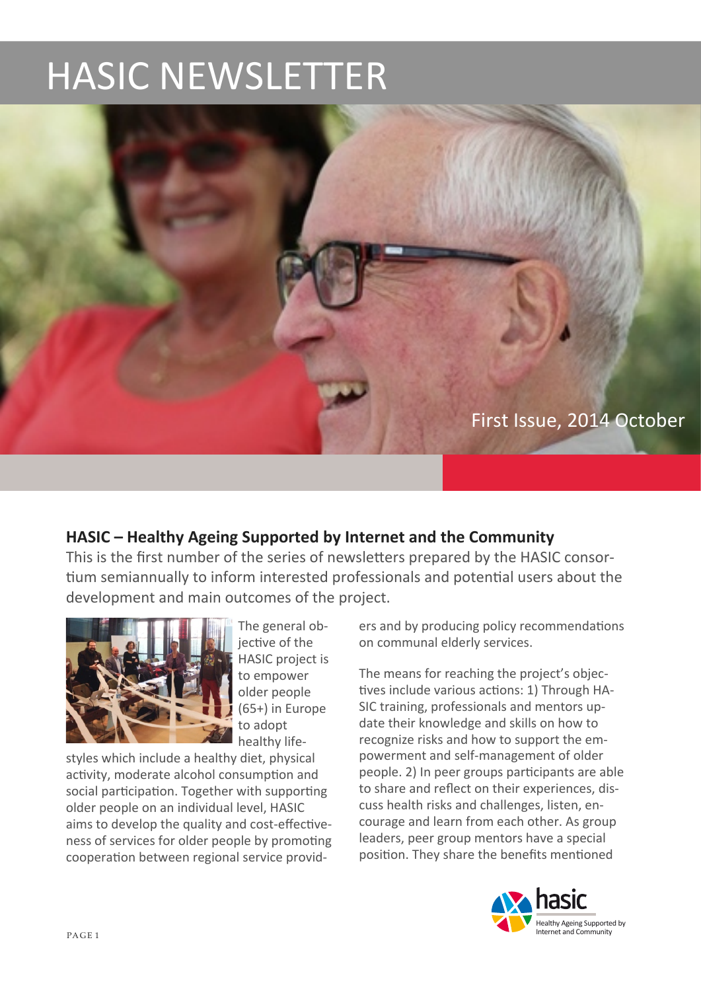# **HASIC NEWSLETTER**



## **HASIC** – Healthy Ageing Supported by Internet and the Community

This is the first number of the series of newsletters prepared by the HASIC consortium semiannually to inform interested professionals and potential users about the development and main outcomes of the project.



The general objective of the HASIC project is to empower older people  $(65+)$  in Europe to adopt healthy life-

styles which include a healthy diet, physical activity, moderate alcohol consumption and social participation. Together with supporting older people on an individual level. HASIC aims to develop the quality and cost-effectiveness of services for older people by promoting cooperation between regional service providers and by producing policy recommendations on communal elderly services.

The means for reaching the project's objectives include various actions: 1) Through HA-SIC training, professionals and mentors update their knowledge and skills on how to recognize risks and how to support the empowerment and self-management of older people. 2) In peer groups participants are able to share and reflect on their experiences, discuss health risks and challenges, listen, encourage and learn from each other. As group leaders, peer group mentors have a special position. They share the benefits mentioned